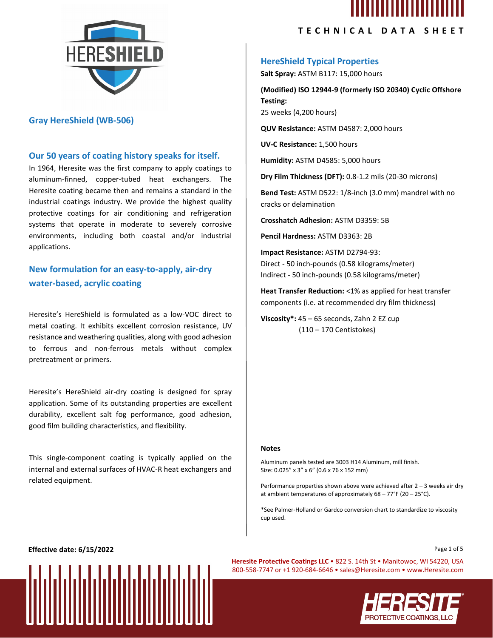

### **Gray HereShield (WB-506)**

#### **Our 50 years of coating history speaks for itself.**

In 1964, Heresite was the first company to apply coatings to aluminum-finned, copper-tubed heat exchangers. The Heresite coating became then and remains a standard in the industrial coatings industry. We provide the highest quality protective coatings for air conditioning and refrigeration systems that operate in moderate to severely corrosive environments, including both coastal and/or industrial applications.

**New formulation for an easy-to-apply, air-dry water-based, acrylic coating**

Heresite's HereShield is formulated as a low-VOC direct to metal coating. It exhibits excellent corrosion resistance, UV resistance and weathering qualities, along with good adhesion to ferrous and non-ferrous metals without complex pretreatment or primers.

Heresite's HereShield air-dry coating is designed for spray application. Some of its outstanding properties are excellent durability, excellent salt fog performance, good adhesion, good film building characteristics, and flexibility.

This single-component coating is typically applied on the internal and external surfaces of HVAC-R heat exchangers and related equipment.

## **TECHNICAL DATA SHEET**

## **HereShield Typical Properties**

**Salt Spray:** ASTM B117: 15,000 hours

**(Modified) ISO 12944-9 (formerly ISO 20340) Cyclic Offshore Testing:** 25 weeks (4,200 hours)

**QUV Resistance:** ASTM D4587: 2,000 hours

**UV-C Resistance:** 1,500 hours

**Humidity:** ASTM D4585: 5,000 hours

**Dry Film Thickness (DFT):** 0.8-1.2 mils (20-30 microns)

**Bend Test:** ASTM D522: 1/8-inch (3.0 mm) mandrel with no cracks or delamination

**Crosshatch Adhesion:** ASTM D3359: 5B

**Pencil Hardness:** ASTM D3363: 2B

**Impact Resistance:** ASTM D2794-93: Direct - 50 inch-pounds (0.58 kilograms/meter) Indirect - 50 inch-pounds (0.58 kilograms/meter)

**Heat Transfer Reduction:** <1% as applied for heat transfer components (i.e. at recommended dry film thickness)

**Viscosity\*:** 45 – 65 seconds, Zahn 2 EZ cup (110 – 170 Centistokes)

#### **Notes**

Aluminum panels tested are 3003 H14 Aluminum, mill finish. Size: 0.025" x 3" x 6" (0.6 x 76 x 152 mm)

Performance properties shown above were achieved after 2 – 3 weeks air dry at ambient temperatures of approximately  $68 - 77$ °F (20 – 25°C).

\*See Palmer-Holland or Gardco conversion chart to standardize to viscosity cup used.

**Effective date: 6/15/2022** Page 1 of 5



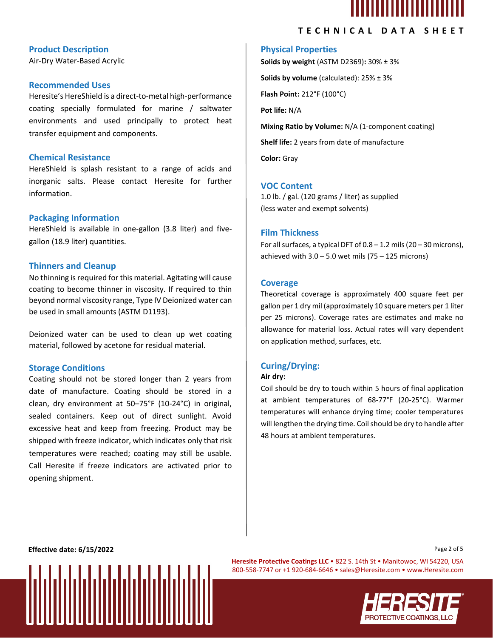

# **Product Description**

Air-Dry Water-Based Acrylic

#### **Recommended Uses**

Heresite's HereShield is a direct-to-metal high-performance coating specially formulated for marine / saltwater environments and used principally to protect heat transfer equipment and components.

#### **Chemical Resistance**

HereShield is splash resistant to a range of acids and inorganic salts. Please contact Heresite for further information.

#### **Packaging Information**

HereShield is available in one-gallon (3.8 liter) and fivegallon (18.9 liter) quantities.

#### **Thinners and Cleanup**

No thinning is required for this material. Agitating will cause coating to become thinner in viscosity. If required to thin beyond normal viscosity range, Type IV Deionized water can be used in small amounts (ASTM D1193).

Deionized water can be used to clean up wet coating material, followed by acetone for residual material.

#### **Storage Conditions**

Coating should not be stored longer than 2 years from date of manufacture. Coating should be stored in a clean, dry environment at 50–75°F (10-24°C) in original, sealed containers. Keep out of direct sunlight. Avoid excessive heat and keep from freezing. Product may be shipped with freeze indicator, which indicates only that risk temperatures were reached; coating may still be usable. Call Heresite if freeze indicators are activated prior to opening shipment.

# **TECHNICAL DATA SHEET**

## **Physical Properties**

**Solids by weight** (ASTM D2369)**:** 30% ± 3% **Solids by volume** (calculated): 25% ± 3% **Flash Point:** 212°F (100°C) **Pot life:** N/A **Mixing Ratio by Volume:** N/A (1-component coating) **Shelf life:** 2 years from date of manufacture

**Color:** Gray

## **VOC Content**

1.0 lb. / gal. (120 grams / liter) as supplied (less water and exempt solvents)

## **Film Thickness**

For all surfaces, a typical DFT of  $0.8 - 1.2$  mils (20 – 30 microns), achieved with  $3.0 - 5.0$  wet mils (75 – 125 microns)

#### **Coverage**

Theoretical coverage is approximately 400 square feet per gallon per 1 dry mil (approximately 10 square meters per 1 liter per 25 microns). Coverage rates are estimates and make no allowance for material loss. Actual rates will vary dependent on application method, surfaces, etc.

#### **Curing/Drying:**

#### **Air dry:**

Coil should be dry to touch within 5 hours of final application at ambient temperatures of 68-77°F (20-25°C). Warmer temperatures will enhance drying time; cooler temperatures will lengthen the drying time. Coil should be dry to handle after 48 hours at ambient temperatures.

**Effective date: 6/15/2022** Page 2 of 5



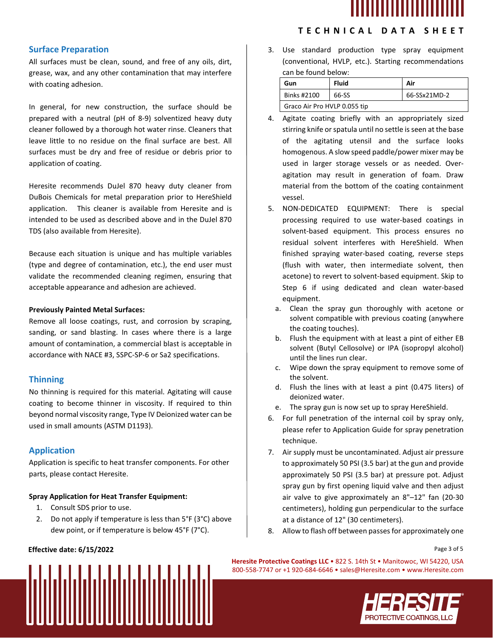

# **TECHNICAL DATA SHEET**

# **Surface Preparation**

All surfaces must be clean, sound, and free of any oils, dirt, grease, wax, and any other contamination that may interfere with coating adhesion.

In general, for new construction, the surface should be prepared with a neutral (pH of 8-9) solventized heavy duty cleaner followed by a thorough hot water rinse. Cleaners that leave little to no residue on the final surface are best. All surfaces must be dry and free of residue or debris prior to application of coating.

Heresite recommends DuJel 870 heavy duty cleaner from DuBois Chemicals for metal preparation prior to HereShield application. This cleaner is available from Heresite and is intended to be used as described above and in the DuJel 870 TDS (also available from Heresite).

Because each situation is unique and has multiple variables (type and degree of contamination, etc.), the end user must validate the recommended cleaning regimen, ensuring that acceptable appearance and adhesion are achieved.

#### **Previously Painted Metal Surfaces:**

Remove all loose coatings, rust, and corrosion by scraping, sanding, or sand blasting. In cases where there is a large amount of contamination, a commercial blast is acceptable in accordance with NACE #3, SSPC-SP-6 or Sa2 specifications.

## **Thinning**

No thinning is required for this material. Agitating will cause coating to become thinner in viscosity. If required to thin beyond normal viscosity range, Type IV Deionized water can be used in small amounts (ASTM D1193).

## **Application**

Application is specific to heat transfer components. For other parts, please contact Heresite.

#### **Spray Application for Heat Transfer Equipment:**

- 1. Consult SDS prior to use.
- 2. Do not apply if temperature is less than 5°F (3°C) above dew point, or if temperature is below 45°F (7°C).

### **Effective date: 6/15/2022** Page 3 of 5



| Gun                          | <b>Fluid</b> | Air          |  |  |
|------------------------------|--------------|--------------|--|--|
| Binks #2100                  | 66-SS        | 66-SSx21MD-2 |  |  |
| Graco Air Pro HVLP 0.055 tip |              |              |  |  |

- 4. Agitate coating briefly with an appropriately sized stirring knife or spatula until no settle is seen at the base of the agitating utensil and the surface looks homogenous. A slow speed paddle/power mixer may be used in larger storage vessels or as needed. Overagitation may result in generation of foam. Draw material from the bottom of the coating containment vessel.
- 5. NON-DEDICATED EQUIPMENT: There is special processing required to use water-based coatings in solvent-based equipment. This process ensures no residual solvent interferes with HereShield. When finished spraying water-based coating, reverse steps (flush with water, then intermediate solvent, then acetone) to revert to solvent-based equipment. Skip to Step 6 if using dedicated and clean water-based equipment.
	- a. Clean the spray gun thoroughly with acetone or solvent compatible with previous coating (anywhere the coating touches).
	- b. Flush the equipment with at least a pint of either EB solvent (Butyl Cellosolve) or IPA (isopropyl alcohol) until the lines run clear.
	- c. Wipe down the spray equipment to remove some of the solvent.
	- d. Flush the lines with at least a pint (0.475 liters) of deionized water.
	- e. The spray gun is now set up to spray HereShield.
- 6. For full penetration of the internal coil by spray only, please refer to Application Guide for spray penetration technique.
- 7. Air supply must be uncontaminated. Adjust air pressure to approximately 50 PSI (3.5 bar) at the gun and provide approximately 50 PSI (3.5 bar) at pressure pot. Adjust spray gun by first opening liquid valve and then adjust air valve to give approximately an 8"–12" fan (20-30 centimeters), holding gun perpendicular to the surface at a distance of 12" (30 centimeters).
- 8. Allow to flash off between passes for approximately one

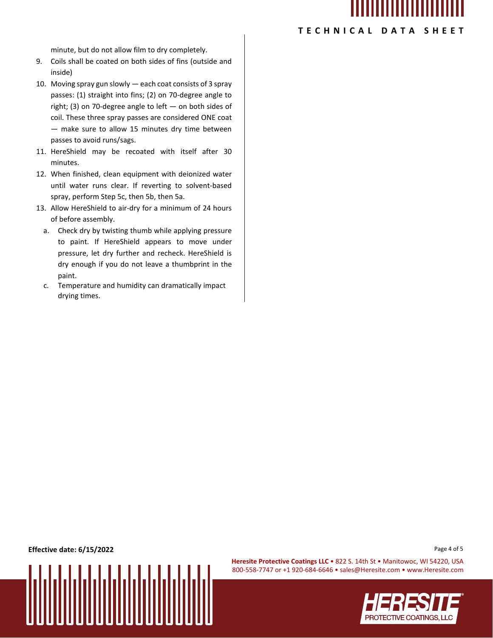

## **TECHNICAL DATA SHEET**

minute, but do not allow film to dry completely.

- 9. Coils shall be coated on both sides of fins (outside and inside)
- 10. Moving spray gun slowly each coat consists of 3 spray passes: (1) straight into fins; (2) on 70-degree angle to right; (3) on 70-degree angle to left — on both sides of coil. These three spray passes are considered ONE coat — make sure to allow 15 minutes dry time between passes to avoid runs/sags.
- 11. HereShield may be recoated with itself after 30 minutes.
- 12. When finished, clean equipment with deionized water until water runs clear. If reverting to solvent-based spray, perform Step 5c, then 5b, then 5a.
- 13. Allow HereShield to air-dry for a minimum of 24 hours of before assembly.
	- a. Check dry by twisting thumb while applying pressure to paint. If HereShield appears to move under pressure, let dry further and recheck. HereShield is dry enough if you do not leave a thumbprint in the paint.
	- c. Temperature and humidity can dramatically impact drying times.

**Effective date: 6/15/2022** Page 4 of 5